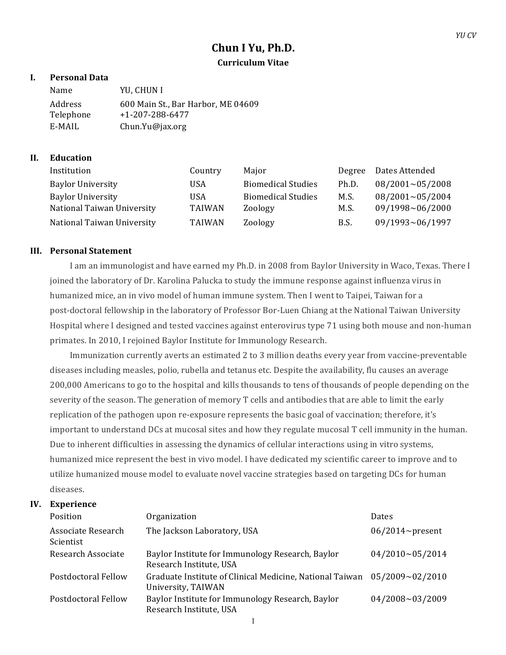# **Chun I Yu, Ph.D. Curriculum Vitae**

# **I. Personal Data**

| Name      | YU. CHUN I                         |
|-----------|------------------------------------|
| Address   | 600 Main St., Bar Harbor, ME 04609 |
| Telephone | $+1 - 207 - 288 - 6477$            |
| E-MAIL    | $Chun.Yu@$ jax.org                 |

# **II. Education**

| Institution                | Country       | Maior                     | Degree | Dates Attended         |
|----------------------------|---------------|---------------------------|--------|------------------------|
| <b>Baylor University</b>   | USA           | <b>Biomedical Studies</b> | Ph.D.  | $08/2001 \sim 05/2008$ |
| <b>Baylor University</b>   | USA           | <b>Biomedical Studies</b> | M.S.   | $08/2001 \sim 05/2004$ |
| National Taiwan University | TAIWAN        | Zoology                   | M.S.   | 09/1998~06/2000        |
| National Taiwan University | <b>TAIWAN</b> | Zoology                   | B.S.   | 09/1993~06/1997        |

## **III. Personal Statement**

I am an immunologist and have earned my Ph.D. in 2008 from Baylor University in Waco, Texas. There I joined the laboratory of Dr. Karolina Palucka to study the immune response against influenza virus in humanized mice, an in vivo model of human immune system. Then I went to Taipei, Taiwan for a post-doctoral fellowship in the laboratory of Professor Bor-Luen Chiang at the National Taiwan University Hospital where I designed and tested vaccines against enterovirus type 71 using both mouse and non-human primates. In 2010, I rejoined Baylor Institute for Immunology Research.

Immunization currently averts an estimated 2 to 3 million deaths every year from vaccine-preventable diseases including measles, polio, rubella and tetanus etc. Despite the availability, flu causes an average 200,000 Americans to go to the hospital and kills thousands to tens of thousands of people depending on the severity of the season. The generation of memory T cells and antibodies that are able to limit the early replication of the pathogen upon re-exposure represents the basic goal of vaccination; therefore, it's important to understand DCs at mucosal sites and how they regulate mucosal T cell immunity in the human. Due to inherent difficulties in assessing the dynamics of cellular interactions using in vitro systems, humanized mice represent the best in vivo model. I have dedicated my scientific career to improve and to utilize humanized mouse model to evaluate novel vaccine strategies based on targeting DCs for human diseases.

### **IV. Experience**

| <b>Position</b>                        | Organization                                                                   | Dates                  |
|----------------------------------------|--------------------------------------------------------------------------------|------------------------|
| Associate Research<br><b>Scientist</b> | The Jackson Laboratory, USA                                                    | $06/2014$ ~present     |
| Research Associate                     | Baylor Institute for Immunology Research, Baylor<br>Research Institute, USA    | 04/2010~05/2014        |
| Postdoctoral Fellow                    | Graduate Institute of Clinical Medicine, National Taiwan<br>University, TAIWAN | $05/2009 \sim 02/2010$ |
| Postdoctoral Fellow                    | Baylor Institute for Immunology Research, Baylor<br>Research Institute, USA    | $04/2008 \sim 03/2009$ |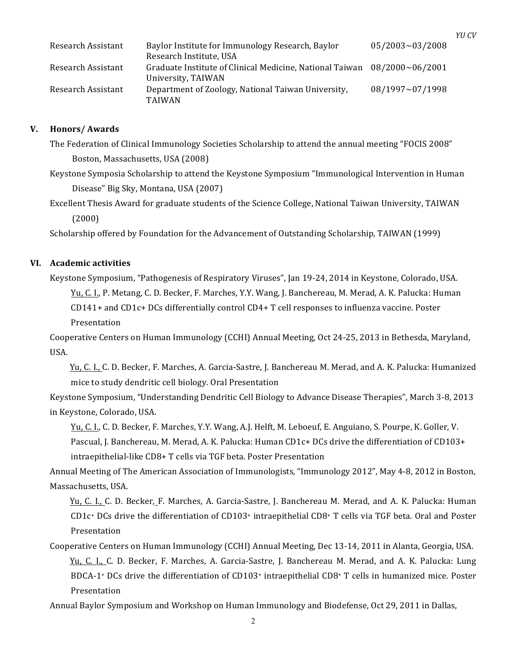| Research Assistant | Baylor Institute for Immunology Research, Baylor<br>Research Institute, USA                           | $05/2003 \sim 03/2008$ |
|--------------------|-------------------------------------------------------------------------------------------------------|------------------------|
| Research Assistant | Graduate Institute of Clinical Medicine, National Taiwan $08/2000 \sim 06/2001$<br>University, TAIWAN |                        |
| Research Assistant | Department of Zoology, National Taiwan University,<br><b>TAIWAN</b>                                   | 08/1997~07/1998        |

*YU CV*

#### **V. Honors/ Awards**

The Federation of Clinical Immunology Societies Scholarship to attend the annual meeting "FOCIS 2008" Boston, Massachusetts, USA (2008)

Keystone Symposia Scholarship to attend the Keystone Symposium "Immunological Intervention in Human Disease" Big Sky, Montana, USA (2007)

Excellent Thesis Award for graduate students of the Science College, National Taiwan University, TAIWAN (2000)

Scholarship offered by Foundation for the Advancement of Outstanding Scholarship, TAIWAN (1999)

### **VI. Academic activities**

Keystone Symposium, "Pathogenesis of Respiratory Viruses", Jan 19-24, 2014 in Keystone, Colorado, USA.

Yu, C. I., P. Metang, C. D. Becker, F. Marches, Y.Y. Wang, J. Banchereau, M. Merad, A. K. Palucka: Human

 $CD141+$  and  $CD1c+DCs$  differentially control  $CD4+T$  cell responses to influenza vaccine. Poster

Presentation

Cooperative Centers on Human Immunology (CCHI) Annual Meeting, Oct 24-25, 2013 in Bethesda, Maryland, USA.

Yu, C. I., C. D. Becker, F. Marches, A. Garcia-Sastre, J. Banchereau M. Merad, and A. K. Palucka: Humanized mice to study dendritic cell biology. Oral Presentation

Keystone Symposium, "Understanding Dendritic Cell Biology to Advance Disease Therapies", March 3-8, 2013 in Keystone, Colorado, USA.

Yu, C. I., C. D. Becker, F. Marches, Y.Y. Wang, A.J. Helft, M. Leboeuf, E. Anguiano, S. Pourpe, K. Goller, V. Pascual, J. Banchereau, M. Merad, A. K. Palucka: Human CD1c+ DCs drive the differentiation of CD103+ intraepithelial-like CD8+ T cells via TGF beta. Poster Presentation

Annual Meeting of The American Association of Immunologists, "Immunology 2012", May 4-8, 2012 in Boston, Massachusetts, USA.

Yu, C. I., C. D. Becker, F. Marches, A. Garcia-Sastre, J. Banchereau M. Merad, and A. K. Palucka: Human CD1 $c$ + DCs drive the differentiation of CD103+ intraepithelial CD8+ T cells via TGF beta. Oral and Poster Presentation

Cooperative Centers on Human Immunology (CCHI) Annual Meeting, Dec 13-14, 2011 in Alanta, Georgia, USA. Yu, C. I., C. D. Becker, F. Marches, A. Garcia-Sastre, J. Banchereau M. Merad, and A. K. Palucka: Lung BDCA-1+ DCs drive the differentiation of  $CD103+$  intraepithelial  $CD8+$  T cells in humanized mice. Poster Presentation

Annual Baylor Symposium and Workshop on Human Immunology and Biodefense, Oct 29, 2011 in Dallas,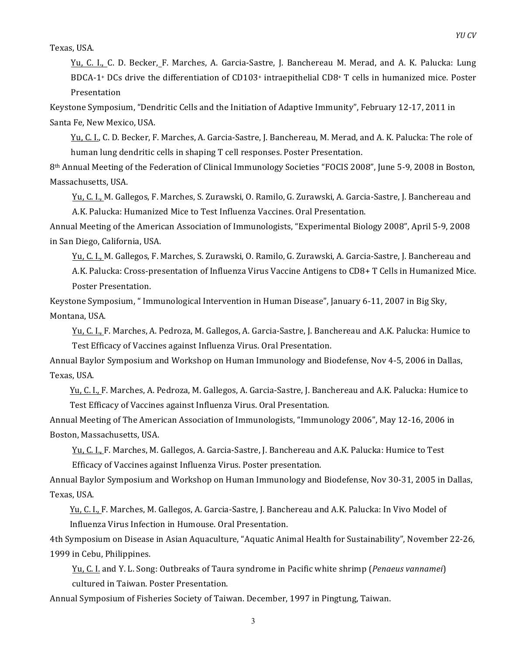Texas, USA.

Yu, C. I., C. D. Becker, F. Marches, A. Garcia-Sastre, J. Banchereau M. Merad, and A. K. Palucka: Lung BDCA-1+ DCs drive the differentiation of CD103+ intraepithelial CD8+ T cells in humanized mice. Poster Presentation

Keystone Symposium, "Dendritic Cells and the Initiation of Adaptive Immunity", February 12-17, 2011 in Santa Fe, New Mexico, USA.

Yu, C. I., C. D. Becker, F. Marches, A. Garcia-Sastre, J. Banchereau, M. Merad, and A. K. Palucka: The role of human lung dendritic cells in shaping T cell responses. Poster Presentation.

8<sup>th</sup> Annual Meeting of the Federation of Clinical Immunology Societies "FOCIS 2008", June 5-9, 2008 in Boston, Massachusetts, USA.

Yu, C. I., M. Gallegos, F. Marches, S. Zurawski, O. Ramilo, G. Zurawski, A. Garcia-Sastre, J. Banchereau and A.K. Palucka: Humanized Mice to Test Influenza Vaccines. Oral Presentation.

Annual Meeting of the American Association of Immunologists, "Experimental Biology 2008", April 5-9, 2008 in San Diego, California, USA.

Yu, C. I., M. Gallegos, F. Marches, S. Zurawski, O. Ramilo, G. Zurawski, A. Garcia-Sastre, J. Banchereau and A.K. Palucka: Cross-presentation of Influenza Virus Vaccine Antigens to CD8+ T Cells in Humanized Mice. Poster Presentation.

Keystone Symposium, " Immunological Intervention in Human Disease", January 6-11, 2007 in Big Sky, Montana, USA.

Yu, C. I., F. Marches, A. Pedroza, M. Gallegos, A. Garcia-Sastre, J. Banchereau and A.K. Palucka: Humice to Test Efficacy of Vaccines against Influenza Virus. Oral Presentation.

Annual Baylor Symposium and Workshop on Human Immunology and Biodefense, Nov 4-5, 2006 in Dallas, Texas, USA.

Yu, C. I., F. Marches, A. Pedroza, M. Gallegos, A. Garcia-Sastre, J. Banchereau and A.K. Palucka: Humice to Test Efficacy of Vaccines against Influenza Virus. Oral Presentation.

Annual Meeting of The American Association of Immunologists, "Immunology 2006", May 12-16, 2006 in Boston, Massachusetts, USA.

Yu, C. I., F. Marches, M. Gallegos, A. Garcia-Sastre, J. Banchereau and A.K. Palucka: Humice to Test Efficacy of Vaccines against Influenza Virus. Poster presentation.

Annual Baylor Symposium and Workshop on Human Immunology and Biodefense, Nov 30-31, 2005 in Dallas, Texas, USA.

Yu, C. I., F. Marches, M. Gallegos, A. Garcia-Sastre, J. Banchereau and A.K. Palucka: In Vivo Model of Influenza Virus Infection in Humouse. Oral Presentation.

4th Symposium on Disease in Asian Aquaculture, "Aquatic Animal Health for Sustainability", November 22-26, 1999 in Cebu, Philippines.

Yu, C. I. and Y. L. Song: Outbreaks of Taura syndrome in Pacific white shrimp (*Penaeus vannamei*) cultured in Taiwan. Poster Presentation.

Annual Symposium of Fisheries Society of Taiwan. December, 1997 in Pingtung, Taiwan.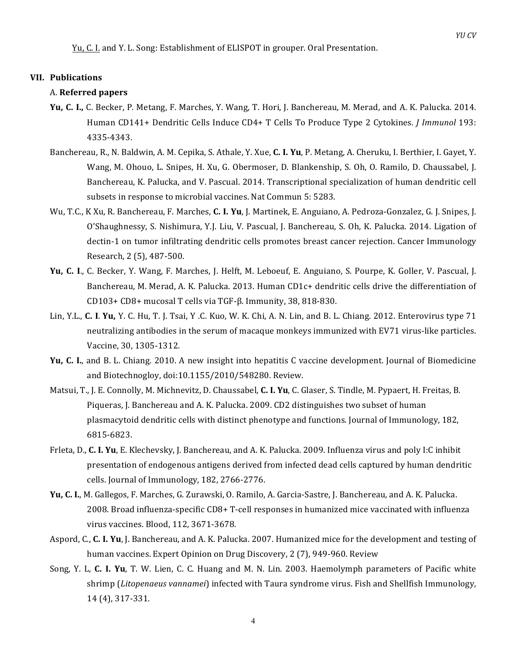Yu, C. I. and Y. L. Song: Establishment of ELISPOT in grouper. Oral Presentation.

#### **VII. Publications**

#### A. **Referred papers**

- **Yu, C. I., C. Becker, P. Metang, F. Marches, Y. Wang, T. Hori, J. Banchereau, M. Merad, and A. K. Palucka. 2014.** Human CD141+ Dendritic Cells Induce CD4+ T Cells To Produce Type 2 Cytokines. *J Immunol* 193: 4335-4343.
- Banchereau, R., N. Baldwin, A. M. Cepika, S. Athale, Y. Xue, C. I. Yu, P. Metang, A. Cheruku, I. Berthier, I. Gayet, Y. Wang, M. Ohouo, L. Snipes, H. Xu, G. Obermoser, D. Blankenship, S. Oh, O. Ramilo, D. Chaussabel, J. Banchereau, K. Palucka, and V. Pascual. 2014. Transcriptional specialization of human dendritic cell subsets in response to microbial vaccines. Nat Commun 5: 5283.
- Wu, T.C., K Xu, R. Banchereau, F. Marches, **C. I. Yu**, J. Martinek, E. Anguiano, A. Pedroza-Gonzalez, G. J. Snipes, J. O'Shaughnessy, S. Nishimura, Y.J. Liu, V. Pascual, J. Banchereau, S. Oh, K. Palucka. 2014. Ligation of dectin-1 on tumor infiltrating dendritic cells promotes breast cancer rejection. Cancer Immunology Research, 2 (5), 487-500.
- **Yu, C. I., C. Becker, Y. Wang, F. Marches, J. Helft, M. Leboeuf, E. Anguiano, S. Pourpe, K. Goller, V. Pascual, J.** Banchereau, M. Merad, A. K. Palucka. 2013. Human CD1c+ dendritic cells drive the differentiation of  $CD103 + CD8 +$  mucosal T cells via TGF- $\beta$ . Immunity, 38, 818-830.
- Lin, Y.L., **C. I. Yu,** Y. C. Hu, T. J. Tsai, Y.C. Kuo, W. K. Chi, A. N. Lin, and B. L. Chiang. 2012. Enterovirus type 71 neutralizing antibodies in the serum of macaque monkeys immunized with EV71 virus-like particles. Vaccine, 30, 1305-1312.
- **Yu, C. I.**, and B. L. Chiang. 2010. A new insight into hepatitis C vaccine development. Journal of Biomedicine and Biotechnogloy, doi:10.1155/2010/548280. Review.
- Matsui, T., J. E. Connolly, M. Michnevitz, D. Chaussabel, **C. I. Yu**, C. Glaser, S. Tindle, M. Pypaert, H. Freitas, B. Piqueras, J. Banchereau and A. K. Palucka. 2009. CD2 distinguishes two subset of human plasmacytoid dendritic cells with distinct phenotype and functions. Journal of Immunology, 182, 6815-6823.
- Frleta, D., C. I. Yu, E. Klechevsky, J. Banchereau, and A. K. Palucka. 2009. Influenza virus and poly I:C inhibit presentation of endogenous antigens derived from infected dead cells captured by human dendritic cells. Journal of Immunology, 182, 2766-2776.
- **Yu, C. I.**, M. Gallegos, F. Marches, G. Zurawski, O. Ramilo, A. Garcia-Sastre, J. Banchereau, and A. K. Palucka. 2008. Broad influenza-specific CD8+ T-cell responses in humanized mice vaccinated with influenza virus vaccines. Blood, 112, 3671-3678.
- Aspord, C., C. I. Yu, J. Banchereau, and A. K. Palucka. 2007. Humanized mice for the development and testing of human vaccines. Expert Opinion on Drug Discovery, 2 (7), 949-960. Review
- Song, Y. L, C. I. Yu, T. W. Lien, C. C. Huang and M. N. Lin. 2003. Haemolymph parameters of Pacific white shrimp (Litopenaeus vannamei) infected with Taura syndrome virus. Fish and Shellfish Immunology, 14 (4), 317-331.